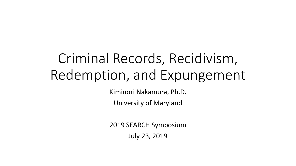# Criminal Records, Recidivism, Redemption, and Expungement

Kiminori Nakamura, Ph.D.

University of Maryland

2019 SEARCH Symposium

July 23, 2019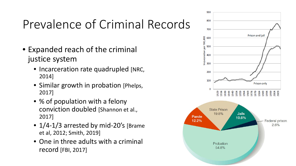## Prevalence of Criminal Records

- Expanded reach of the criminal justice system
	- Incarceration rate quadrupled [NRC, 2014]
	- Similar growth in probation [Phelps, 2017]
	- % of population with a felony conviction doubled [Shannon et al., 2017]
	- 1/4-1/3 arrested by mid-20's [Brame et al, 2012; Smith, 2019]
	- One in three adults with a criminal record [FBI, 2017]

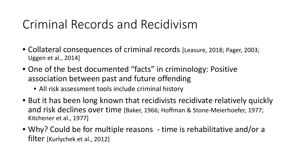### Criminal Records and Recidivism

- Collateral consequences of criminal records [Leasure, 2018; Pager, 2003; Uggen et al., 2014]
- One of the best documented "facts" in criminology: Positive association between past and future offending
	- All risk assessment tools include criminal history
- But it has been long known that recidivists recidivate relatively quickly and risk declines over time [Baker, 1966; Hoffman & Stone-Meierhoefer, 1977; Kitchener et al., 1977]
- Why? Could be for multiple reasons time is rehabilitative and/or a filter [Kurlychek et al., 2012]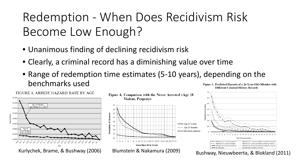## Redemption - When Does Recidivism Risk Become Low Enough?

- Unanimous finding of declining recidivism risk
- Clearly, a criminal record has a diminishing value over time
- Range of redemption time estimates (5-10 years), depending on the benchmarks used Figure 3. Predicted Hazards of a 26-Year-Old Offender with **Different Criminal History Records**



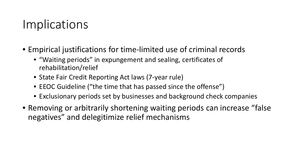#### Implications

- Empirical justifications for time-limited use of criminal records
	- "Waiting periods" in expungement and sealing, certificates of rehabilitation/relief
	- State Fair Credit Reporting Act laws (7-year rule)
	- EEOC Guideline ("the time that has passed since the offense")
	- Exclusionary periods set by businesses and background check companies
- Removing or arbitrarily shortening waiting periods can increase "false negatives" and delegitimize relief mechanisms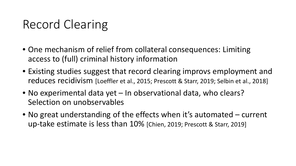### Record Clearing

- One mechanism of relief from collateral consequences: Limiting access to (full) criminal history information
- Existing studies suggest that record clearing improvs employment and reduces recidivism [Loeffler et al., 2015; Prescott & Starr, 2019; Selbin et al., 2018]
- No experimental data yet In observational data, who clears? Selection on unobservables
- No great understanding of the effects when it's automated current up-take estimate is less than 10% [Chien, 2019; Prescott & Starr, 2019]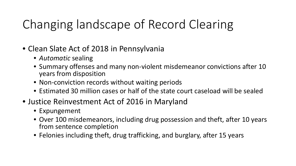## Changing landscape of Record Clearing

- Clean Slate Act of 2018 in Pennsylvania
	- *Automatic* sealing
	- Summary offenses and many non-violent misdemeanor convictions after 10 years from disposition
	- Non-conviction records without waiting periods
	- Estimated 30 million cases or half of the state court caseload will be sealed
- Justice Reinvestment Act of 2016 in Maryland
	- Expungement
	- Over 100 misdemeanors, including drug possession and theft, after 10 years from sentence completion
	- Felonies including theft, drug trafficking, and burglary, after 15 years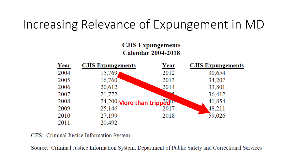#### Increasing Relevance of Expungement in MD

#### **CJIS Expungements Calendar 2004-2018**

| Year | <b>CJIS Expungements</b>    | <b>Year</b> | <b>CJIS Expungements</b> |  |
|------|-----------------------------|-------------|--------------------------|--|
| 2004 | 15,769                      | 2012        | 30,654                   |  |
| 2005 | 16,760                      | 2013        | 34,207                   |  |
| 2006 | 20,612                      | 2014        | 33,801                   |  |
| 2007 | 21,772                      |             | 36,412                   |  |
| 2008 | 24,200 More than tripped or |             | 41,854                   |  |
| 2009 | 25,146                      | 2017        | 48,211                   |  |
| 2010 | 27,199                      | 2018        | 59,026                   |  |
| 2011 | 20,492                      |             |                          |  |

CJIS: Criminal Justice Information System

Source: Criminal Justice Information System; Department of Public Safety and Correctional Services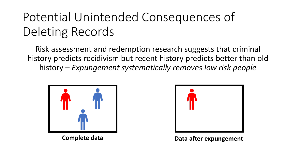## Potential Unintended Consequences of Deleting Records

Risk assessment and redemption research suggests that criminal history predicts recidivism but recent history predicts better than old history – *Expungement systematically removes low risk people*





**Complete data Data after expungement**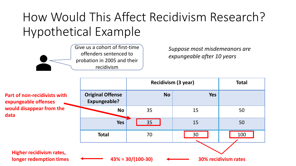## How Would This Affect Recidivism Research? Hypothetical Example



*Suppose most misdemeanors are expungeable after 10 years*

|                                                             |                                                     | Recidivism (3 year) |            | <b>Total</b> |  |
|-------------------------------------------------------------|-----------------------------------------------------|---------------------|------------|--------------|--|
| <b>Part of non-recidivists with</b><br>expungeable offenses | <b>Original Offense</b><br><b>Expungeable?</b>      | <b>No</b>           | <b>Yes</b> |              |  |
| would disappear from the<br>data                            | <b>No</b>                                           | 35                  | 15         | 50           |  |
|                                                             | <b>Yes</b>                                          | 35                  | 15         | 50           |  |
|                                                             | <b>Total</b>                                        | 70                  | 30         | 100          |  |
| <b>Higher recidivism rates,</b><br>longer redemption times  | $43\% = 30/(100-30)$<br><b>30% recidivism rates</b> |                     |            |              |  |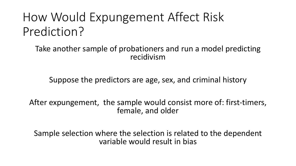## How Would Expungement Affect Risk Prediction?

Take another sample of probationers and run a model predicting recidivism

Suppose the predictors are age, sex, and criminal history

After expungement, the sample would consist more of: first-timers, female, and older

Sample selection where the selection is related to the dependent variable would result in bias